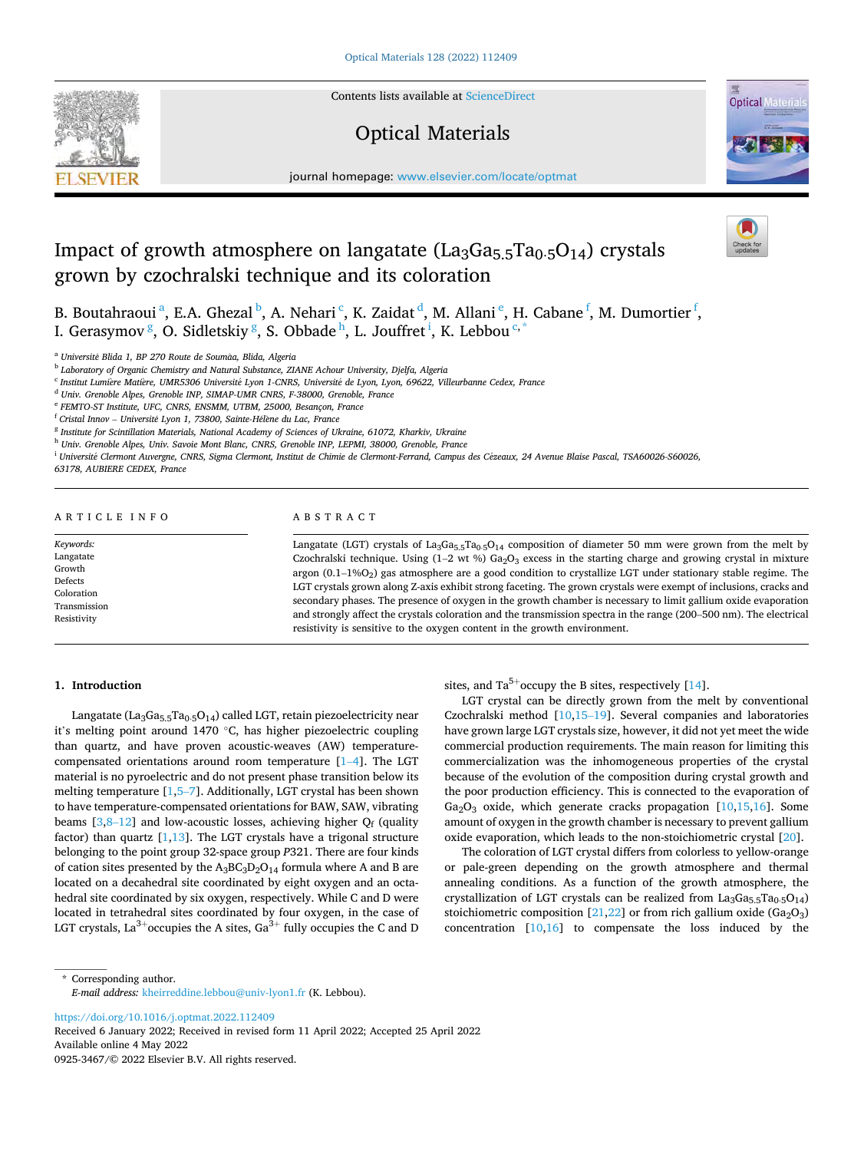Contents lists available at [ScienceDirect](www.sciencedirect.com/science/journal/09253467)

# Optical Materials



journal homepage: [www.elsevier.com/locate/optmat](https://www.elsevier.com/locate/optmat) 

# Impact of growth atmosphere on langatate  $(La_3Ga_5.5Ta_0.5O_{14})$  crystals grown by czochralski technique and its coloration

B. Boutahraoui<sup>a</sup>, E.A. Ghezal<sup>b</sup>, A. Nehari<sup>c</sup>, K. Zaidat<sup>d</sup>, M. Allani<sup>e</sup>, H. Cabane<sup>f</sup>, M. Dumortier<sup>f</sup>, I. Gerasymov  $\frac{g}{s}$ , O. Sidletskiy  $\frac{g}{s}$ , S. Obbade  $^{\text{h}}$ , L. Jouffret  $^{\text{i}}$ , K. Lebbou  $^{\text{c},\ast}$ 

<sup>b</sup> *Laboratory of Organic Chemistry and Natural Substance, ZIANE Achour University, Djelfa, Algeria* 

<sup>c</sup> *Institut Lumi*`*ere Mati*`*ere, UMR5306 Universit*´*e Lyon 1-CNRS, Universit*´*e de Lyon, Lyon, 69622, Villeurbanne Cedex, France* 

<sup>d</sup> *Univ. Grenoble Alpes, Grenoble INP, SIMAP-UMR CNRS, F-38000, Grenoble, France* 

<sup>e</sup> *FEMTO-ST Institute, UFC, CNRS, ENSMM, UTBM, 25000, Besançon, France* 

<sup>f</sup> Cristal Innov - Université Lyon 1, 73800, Sainte-Hélène du Lac, France

<sup>g</sup> *Institute for Scintillation Materials, National Academy of Sciences of Ukraine, 61072, Kharkiv, Ukraine* 

<sup>h</sup> *Univ. Grenoble Alpes, Univ. Savoie Mont Blanc, CNRS, Grenoble INP, LEPMI, 38000, Grenoble, France* 

<sup>i</sup> Université Clermont Auvergne, CNRS, Sigma Clermont, Institut de Chimie de Clermont-Ferrand, Campus des Cézeaux, 24 Avenue Blaise Pascal, TSA60026-S60026,

*63178, AUBIERE CEDEX, France* 

# A R T I C L E I N F O ABSTRACT

Langatate (LGT) crystals of La<sub>3</sub>Ga<sub>5</sub>.5Ta<sub>0</sub>⋅5O<sub>14</sub> composition of diameter 50 mm were grown from the melt by Czochralski technique. Using  $(1-2 \text{ wt } %)$  Ga<sub>2</sub>O<sub>3</sub> excess in the starting charge and growing crystal in mixture argon (0.1–1%O2) gas atmosphere are a good condition to crystallize LGT under stationary stable regime. The LGT crystals grown along Z-axis exhibit strong faceting. The grown crystals were exempt of inclusions, cracks and secondary phases. The presence of oxygen in the growth chamber is necessary to limit gallium oxide evaporation and strongly affect the crystals coloration and the transmission spectra in the range (200–500 nm). The electrical resistivity is sensitive to the oxygen content in the growth environment.

# **1. Introduction**

*Keywords:*  Langatate Growth Defects Coloration Transmission Resistivity

Langatate (La<sub>3</sub>Ga<sub>5.5</sub>Ta<sub>0</sub>.<sub>5</sub>O<sub>14</sub>) called LGT, retain piezoelectricity near it's melting point around 1470 ◦C, has higher piezoelectric coupling than quartz, and have proven acoustic-weaves (AW) temperaturecompensated orientations around room temperature [1–[4\]](#page-4-0). The LGT material is no pyroelectric and do not present phase transition below its melting temperature [\[1,5](#page-4-0)–7]. Additionally, LGT crystal has been shown to have temperature-compensated orientations for BAW, SAW, vibrating beams  $[3,8-12]$  $[3,8-12]$  $[3,8-12]$  $[3,8-12]$  and low-acoustic losses, achieving higher  $Q_f$  (quality factor) than quartz  $[1,13]$  $[1,13]$  $[1,13]$  $[1,13]$ . The LGT crystals have a trigonal structure belonging to the point group 32-space group *P*321. There are four kinds of cation sites presented by the  $A_3BC_3D_2O_{14}$  formula where A and B are located on a decahedral site coordinated by eight oxygen and an octahedral site coordinated by six oxygen, respectively. While C and D were located in tetrahedral sites coordinated by four oxygen, in the case of<br>LGT crystals, La<sup>3+</sup>occupies the A sites, Ga<sup>3+</sup> fully occupies the C and D sites, and  $Ta^{5+}$  occupy the B sites, respectively [[14\]](#page-5-0).

LGT crystal can be directly grown from the melt by conventional Czochralski method [\[10,15](#page-5-0)–19]. Several companies and laboratories have grown large LGT crystals size, however, it did not yet meet the wide commercial production requirements. The main reason for limiting this commercialization was the inhomogeneous properties of the crystal because of the evolution of the composition during crystal growth and the poor production efficiency. This is connected to the evaporation of  $Ga<sub>2</sub>O<sub>3</sub>$  oxide, which generate cracks propagation [[10,15,16](#page-5-0)]. Some amount of oxygen in the growth chamber is necessary to prevent gallium oxide evaporation, which leads to the non-stoichiometric crystal [\[20\]](#page-5-0).

The coloration of LGT crystal differs from colorless to yellow-orange or pale-green depending on the growth atmosphere and thermal annealing conditions. As a function of the growth atmosphere, the crystallization of LGT crystals can be realized from La<sub>3</sub>Ga<sub>5.5</sub>Ta<sub>0⋅5</sub>O<sub>14</sub>) stoichiometric composition  $[21,22]$  $[21,22]$  or from rich gallium oxide (Ga<sub>2</sub>O<sub>3</sub>) concentration [\[10](#page-5-0),[16\]](#page-5-0) to compensate the loss induced by the

\* Corresponding author. *E-mail address:* [kheirreddine.lebbou@univ-lyon1.fr](mailto:kheirreddine.lebbou@univ-lyon1.fr) (K. Lebbou).

<https://doi.org/10.1016/j.optmat.2022.112409>

Available online 4 May 2022 0925-3467/© 2022 Elsevier B.V. All rights reserved. Received 6 January 2022; Received in revised form 11 April 2022; Accepted 25 April 2022

<sup>a</sup> *Universit*´*e Blida 1, BP 270 Route de Soumaa, Blida, Algeria* ˆ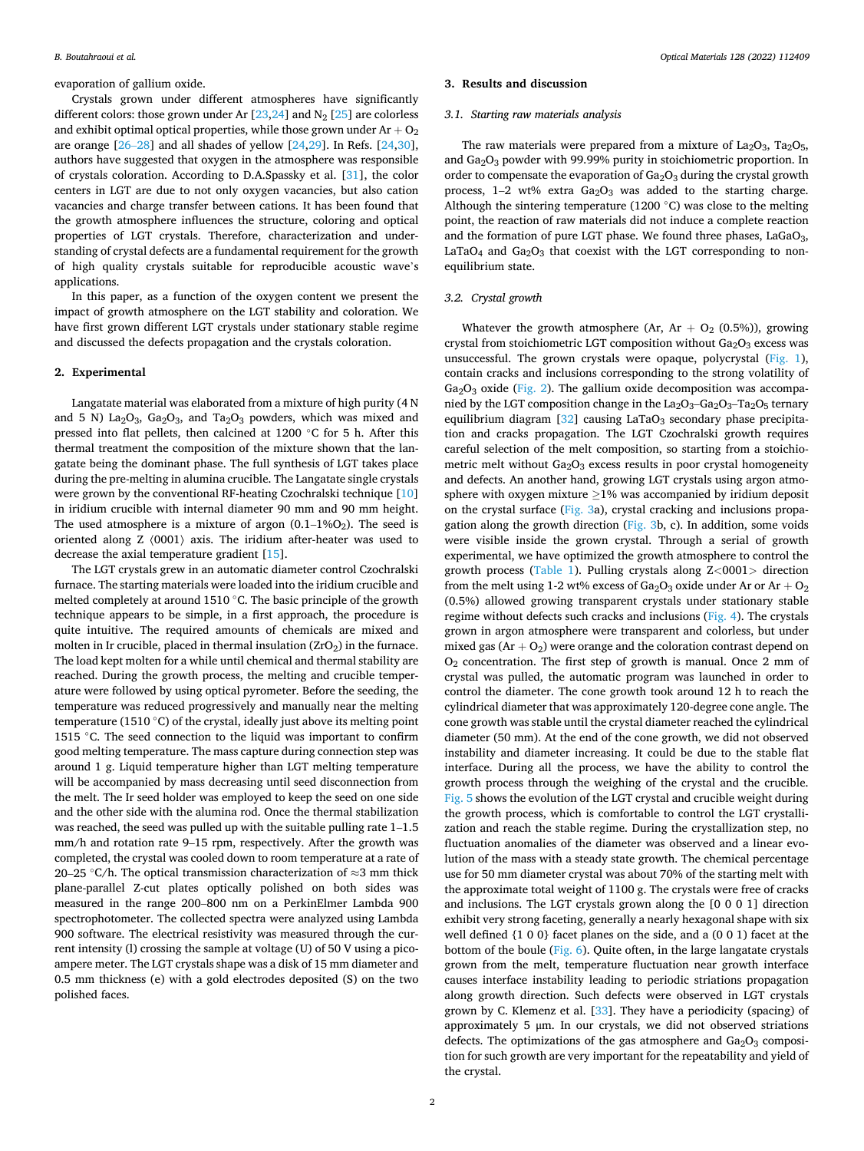evaporation of gallium oxide.

Crystals grown under different atmospheres have significantly different colors: those grown under Ar  $[23,24]$  $[23,24]$  and N<sub>2</sub>  $[25]$  $[25]$  are colorless and exhibit optimal optical properties, while those grown under  $Ar + O<sub>2</sub>$ are orange  $[26-28]$  $[26-28]$  and all shades of yellow  $[24,29]$  $[24,29]$ . In Refs.  $[24,30]$  $[24,30]$  $[24,30]$ , authors have suggested that oxygen in the atmosphere was responsible of crystals coloration. According to D.A.Spassky et al. [[31\]](#page-5-0), the color centers in LGT are due to not only oxygen vacancies, but also cation vacancies and charge transfer between cations. It has been found that the growth atmosphere influences the structure, coloring and optical properties of LGT crystals. Therefore, characterization and understanding of crystal defects are a fundamental requirement for the growth of high quality crystals suitable for reproducible acoustic wave's applications.

In this paper, as a function of the oxygen content we present the impact of growth atmosphere on the LGT stability and coloration. We have first grown different LGT crystals under stationary stable regime and discussed the defects propagation and the crystals coloration.

# **2. Experimental**

Langatate material was elaborated from a mixture of high purity (4 N and 5 N) La<sub>2</sub>O<sub>3</sub>, Ga<sub>2</sub>O<sub>3</sub>, and Ta<sub>2</sub>O<sub>3</sub> powders, which was mixed and pressed into flat pellets, then calcined at 1200 ◦C for 5 h. After this thermal treatment the composition of the mixture shown that the langatate being the dominant phase. The full synthesis of LGT takes place during the pre-melting in alumina crucible. The Langatate single crystals were grown by the conventional RF-heating Czochralski technique [\[10](#page-5-0)] in iridium crucible with internal diameter 90 mm and 90 mm height. The used atmosphere is a mixture of argon  $(0.1-1\%O<sub>2</sub>)$ . The seed is oriented along Z 〈0001〉 axis. The iridium after-heater was used to decrease the axial temperature gradient [[15\]](#page-5-0).

The LGT crystals grew in an automatic diameter control Czochralski furnace. The starting materials were loaded into the iridium crucible and melted completely at around 1510 ◦C. The basic principle of the growth technique appears to be simple, in a first approach, the procedure is quite intuitive. The required amounts of chemicals are mixed and molten in Ir crucible, placed in thermal insulation  $(ZrO<sub>2</sub>)$  in the furnace. The load kept molten for a while until chemical and thermal stability are reached. During the growth process, the melting and crucible temperature were followed by using optical pyrometer. Before the seeding, the temperature was reduced progressively and manually near the melting temperature (1510 $\degree$ C) of the crystal, ideally just above its melting point 1515 ◦C. The seed connection to the liquid was important to confirm good melting temperature. The mass capture during connection step was around 1 g. Liquid temperature higher than LGT melting temperature will be accompanied by mass decreasing until seed disconnection from the melt. The Ir seed holder was employed to keep the seed on one side and the other side with the alumina rod. Once the thermal stabilization was reached, the seed was pulled up with the suitable pulling rate 1–1.5 mm/h and rotation rate 9–15 rpm, respectively. After the growth was completed, the crystal was cooled down to room temperature at a rate of 20–25 °C/h. The optical transmission characterization of  $\approx$ 3 mm thick plane-parallel Z-cut plates optically polished on both sides was measured in the range 200–800 nm on a PerkinElmer Lambda 900 spectrophotometer. The collected spectra were analyzed using Lambda 900 software. The electrical resistivity was measured through the current intensity (l) crossing the sample at voltage (U) of 50 V using a picoampere meter. The LGT crystals shape was a disk of 15 mm diameter and 0.5 mm thickness (e) with a gold electrodes deposited (S) on the two polished faces.

#### **3. Results and discussion**

## *3.1. Starting raw materials analysis*

The raw materials were prepared from a mixture of  $La<sub>2</sub>O<sub>3</sub>$ , Ta<sub>2</sub>O<sub>5</sub>, and Ga2O3 powder with 99.99% purity in stoichiometric proportion. In order to compensate the evaporation of  $Ga<sub>2</sub>O<sub>3</sub>$  during the crystal growth process,  $1-2$  wt% extra  $Ga<sub>2</sub>O<sub>3</sub>$  was added to the starting charge. Although the sintering temperature (1200 $°C$ ) was close to the melting point, the reaction of raw materials did not induce a complete reaction and the formation of pure LGT phase. We found three phases,  $LaGaO<sub>3</sub>$ , LaTaO<sub>4</sub> and  $Ga<sub>2</sub>O<sub>3</sub>$  that coexist with the LGT corresponding to nonequilibrium state.

#### *3.2. Crystal growth*

Whatever the growth atmosphere (Ar,  $Ar + O_2$  (0.5%)), growing crystal from stoichiometric LGT composition without  $Ga<sub>2</sub>O<sub>3</sub>$  excess was unsuccessful. The grown crystals were opaque, polycrystal ([Fig. 1](#page-2-0)), contain cracks and inclusions corresponding to the strong volatility of  $Ga<sub>2</sub>O<sub>3</sub>$  oxide ([Fig. 2](#page-2-0)). The gallium oxide decomposition was accompanied by the LGT composition change in the  $La_2O_3–Ga_2O_3–Ta_2O_5$  ternary equilibrium diagram  $\lceil 32 \rceil$  causing LaTaO<sub>3</sub> secondary phase precipitation and cracks propagation. The LGT Czochralski growth requires careful selection of the melt composition, so starting from a stoichiometric melt without  $Ga<sub>2</sub>O<sub>3</sub>$  excess results in poor crystal homogeneity and defects. An another hand, growing LGT crystals using argon atmosphere with oxygen mixture ≥1% was accompanied by iridium deposit on the crystal surface [\(Fig. 3a](#page-2-0)), crystal cracking and inclusions propagation along the growth direction ([Fig. 3b](#page-2-0), c). In addition, some voids were visible inside the grown crystal. Through a serial of growth experimental, we have optimized the growth atmosphere to control the growth process [\(Table 1](#page-2-0)). Pulling crystals along Z*<*0001*>* direction from the melt using 1-2 wt% excess of Ga<sub>2</sub>O<sub>3</sub> oxide under Ar or Ar + O<sub>2</sub> (0.5%) allowed growing transparent crystals under stationary stable regime without defects such cracks and inclusions [\(Fig. 4](#page-3-0)). The crystals grown in argon atmosphere were transparent and colorless, but under mixed gas  $(Ar + O_2)$  were orange and the coloration contrast depend on O2 concentration. The first step of growth is manual. Once 2 mm of crystal was pulled, the automatic program was launched in order to control the diameter. The cone growth took around 12 h to reach the cylindrical diameter that was approximately 120-degree cone angle. The cone growth was stable until the crystal diameter reached the cylindrical diameter (50 mm). At the end of the cone growth, we did not observed instability and diameter increasing. It could be due to the stable flat interface. During all the process, we have the ability to control the growth process through the weighing of the crystal and the crucible. [Fig. 5](#page-3-0) shows the evolution of the LGT crystal and crucible weight during the growth process, which is comfortable to control the LGT crystallization and reach the stable regime. During the crystallization step, no fluctuation anomalies of the diameter was observed and a linear evolution of the mass with a steady state growth. The chemical percentage use for 50 mm diameter crystal was about 70% of the starting melt with the approximate total weight of 1100 g. The crystals were free of cracks and inclusions. The LGT crystals grown along the [0 0 0 1] direction exhibit very strong faceting, generally a nearly hexagonal shape with six well defined {1 0 0} facet planes on the side, and a (0 0 1) facet at the bottom of the boule ([Fig. 6\)](#page-3-0). Quite often, in the large langatate crystals grown from the melt, temperature fluctuation near growth interface causes interface instability leading to periodic striations propagation along growth direction. Such defects were observed in LGT crystals grown by C. Klemenz et al. [\[33](#page-5-0)]. They have a periodicity (spacing) of approximately 5 μm. In our crystals, we did not observed striations defects. The optimizations of the gas atmosphere and  $Ga<sub>2</sub>O<sub>3</sub>$  composition for such growth are very important for the repeatability and yield of the crystal.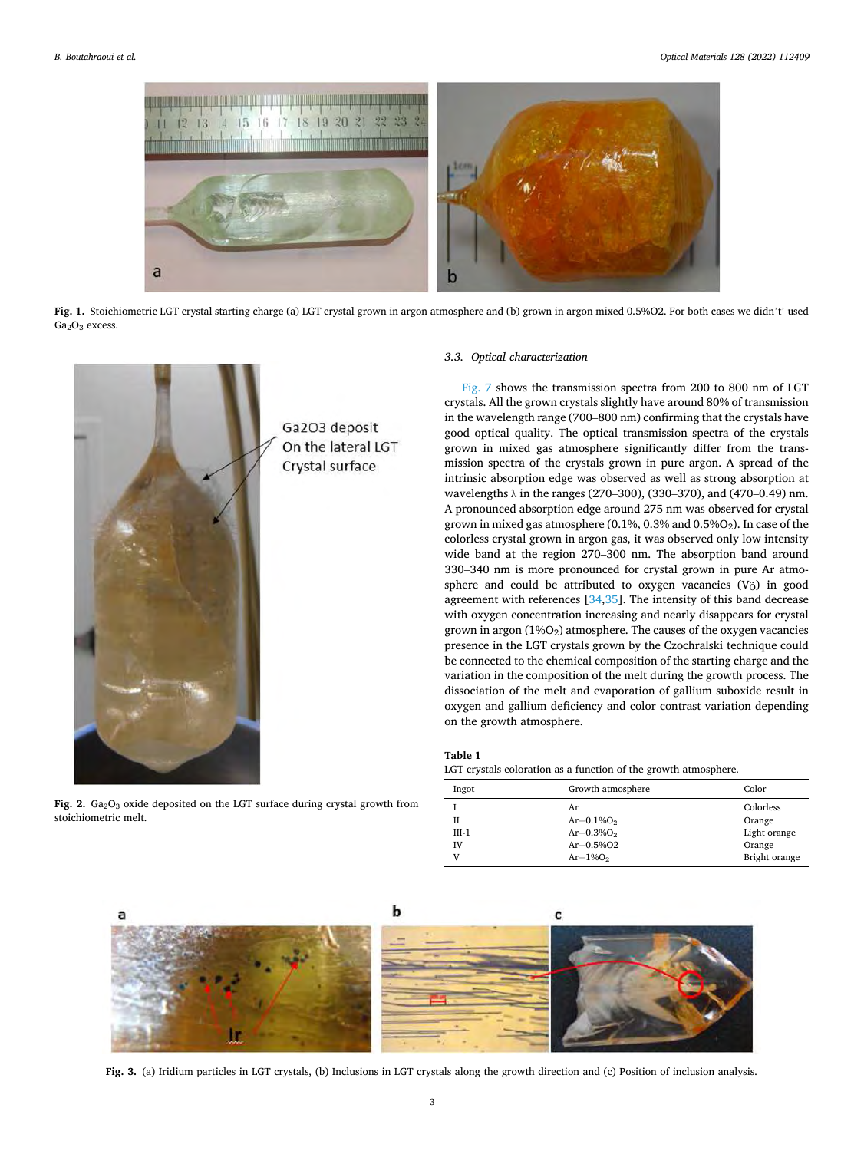<span id="page-2-0"></span>

**Fig. 1.** Stoichiometric LGT crystal starting charge (a) LGT crystal grown in argon atmosphere and (b) grown in argon mixed 0.5%O2. For both cases we didn't' used  $Ga<sub>2</sub>O<sub>3</sub>$  excess.



Fig. 2. Ga<sub>2</sub>O<sub>3</sub> oxide deposited on the LGT surface during crystal growth from stoichiometric melt.

# *3.3. Optical characterization*

[Fig. 7](#page-4-0) shows the transmission spectra from 200 to 800 nm of LGT crystals. All the grown crystals slightly have around 80% of transmission in the wavelength range (700–800 nm) confirming that the crystals have good optical quality. The optical transmission spectra of the crystals grown in mixed gas atmosphere significantly differ from the transmission spectra of the crystals grown in pure argon. A spread of the intrinsic absorption edge was observed as well as strong absorption at wavelengths λ in the ranges (270–300), (330–370), and (470–0.49) nm. A pronounced absorption edge around 275 nm was observed for crystal grown in mixed gas atmosphere (0.1%, 0.3% and 0.5% $O<sub>2</sub>$ ). In case of the colorless crystal grown in argon gas, it was observed only low intensity wide band at the region 270–300 nm. The absorption band around 330–340 nm is more pronounced for crystal grown in pure Ar atmosphere and could be attributed to oxygen vacancies (V<sub>Ö</sub>) in good agreement with references [\[34,35](#page-5-0)]. The intensity of this band decrease with oxygen concentration increasing and nearly disappears for crystal grown in argon  $(1\%)$  atmosphere. The causes of the oxygen vacancies presence in the LGT crystals grown by the Czochralski technique could be connected to the chemical composition of the starting charge and the variation in the composition of the melt during the growth process. The dissociation of the melt and evaporation of gallium suboxide result in oxygen and gallium deficiency and color contrast variation depending on the growth atmosphere.

#### **Table 1**

LGT crystals coloration as a function of the growth atmosphere.

| Ingot        | Growth atmosphere                        | Color                               |
|--------------|------------------------------------------|-------------------------------------|
| Н<br>$III-1$ | Ar<br>$Ar + 0.1\%O_2$<br>$Ar + 0.3\%O_2$ | Colorless<br>Orange<br>Light orange |
| IV<br>v      | $Ar + 0.5\%$ O2<br>$Ar+1\%O2$            | Orange<br>Bright orange             |



**Fig. 3.** (a) Iridium particles in LGT crystals, (b) Inclusions in LGT crystals along the growth direction and (c) Position of inclusion analysis.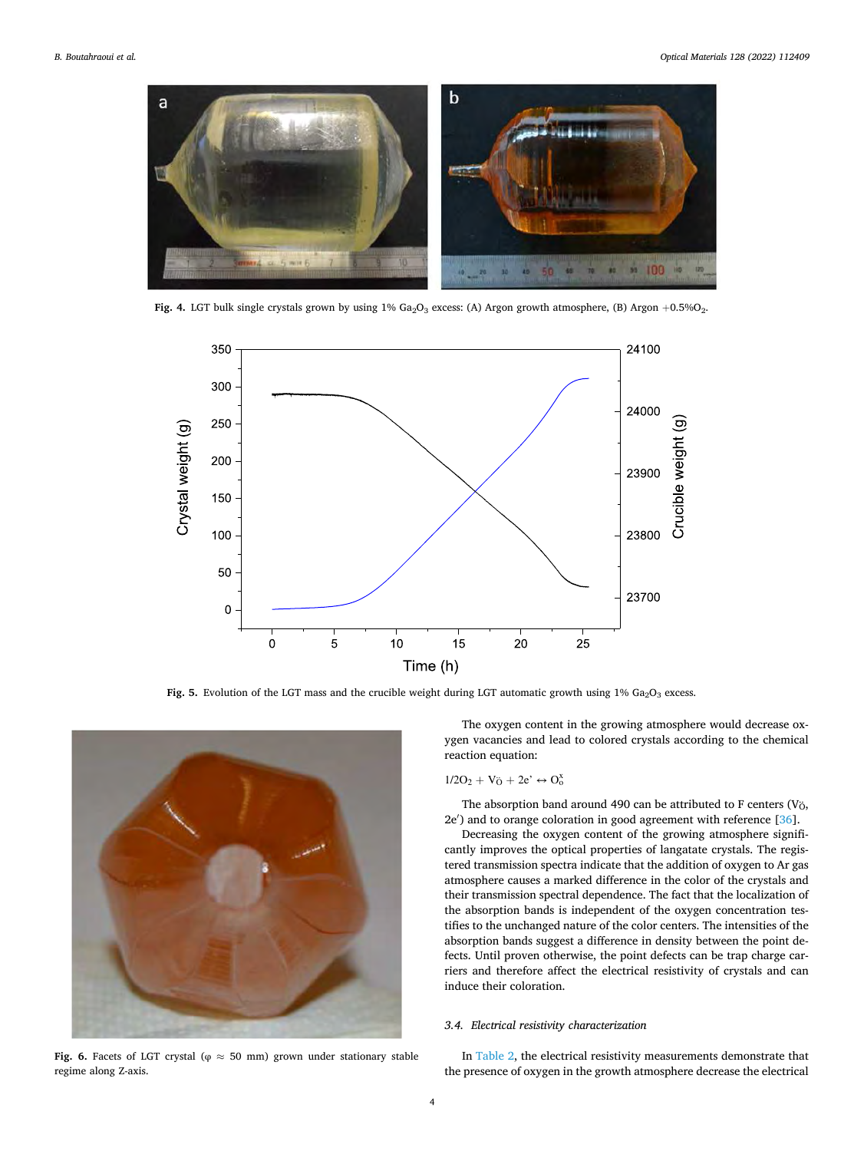<span id="page-3-0"></span>

Fig. 4. LGT bulk single crystals grown by using 1% Ga<sub>2</sub>O<sub>3</sub> excess: (A) Argon growth atmosphere, (B) Argon +0.5%O<sub>2</sub>.



**Fig. 5.** Evolution of the LGT mass and the crucible weight during LGT automatic growth using  $1\%$  Ga<sub>2</sub>O<sub>3</sub> excess.



**Fig. 6.** Facets of LGT crystal ( $\varphi \approx 50$  mm) grown under stationary stable regime along Z-axis.

The oxygen content in the growing atmosphere would decrease oxygen vacancies and lead to colored crystals according to the chemical reaction equation:

$$
1/2O_2 + V_{\bullet} + 2e' \leftrightarrow O_o^x
$$

The absorption band around 490 can be attributed to F centers (V $\ddot{o}$ , 2e′ ) and to orange coloration in good agreement with reference [\[36](#page-5-0)].

Decreasing the oxygen content of the growing atmosphere significantly improves the optical properties of langatate crystals. The registered transmission spectra indicate that the addition of oxygen to Ar gas atmosphere causes a marked difference in the color of the crystals and their transmission spectral dependence. The fact that the localization of the absorption bands is independent of the oxygen concentration testifies to the unchanged nature of the color centers. The intensities of the absorption bands suggest a difference in density between the point defects. Until proven otherwise, the point defects can be trap charge carriers and therefore affect the electrical resistivity of crystals and can induce their coloration.

# *3.4. Electrical resistivity characterization*

In [Table 2,](#page-4-0) the electrical resistivity measurements demonstrate that the presence of oxygen in the growth atmosphere decrease the electrical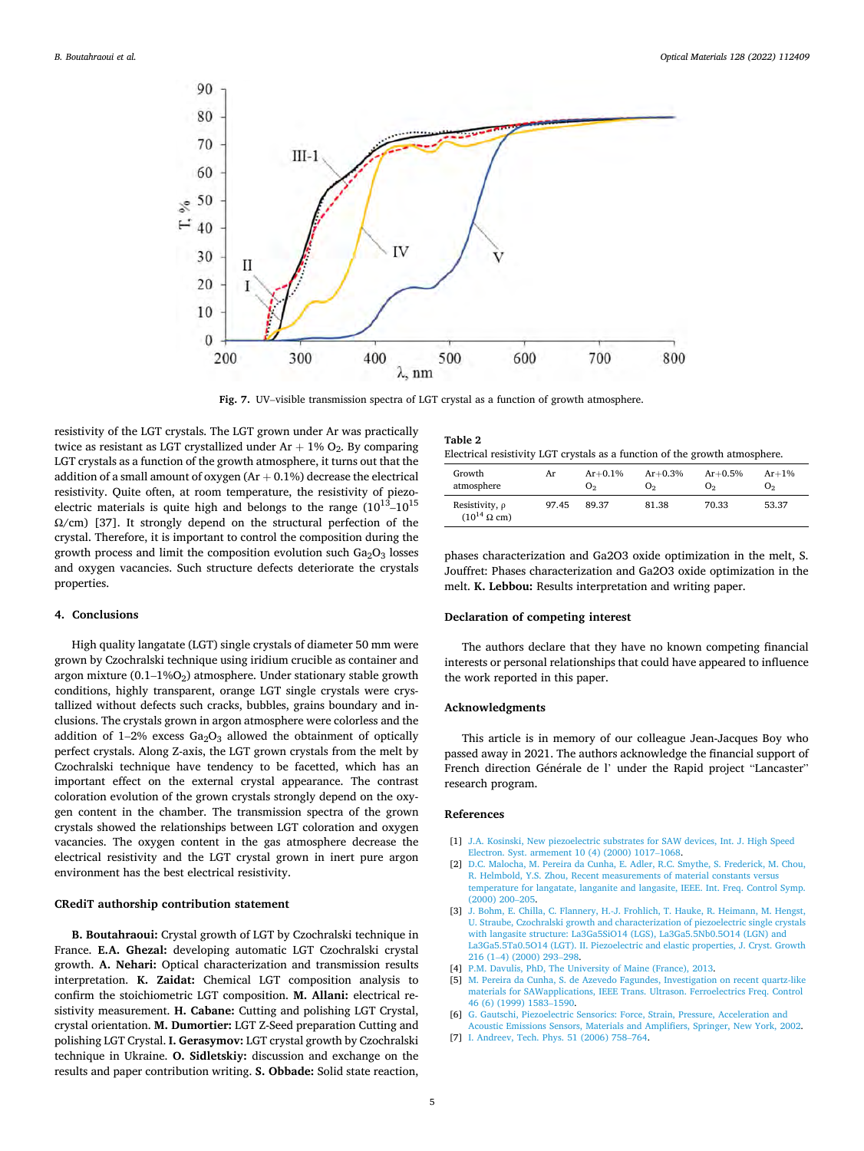<span id="page-4-0"></span>

**Fig. 7.** UV–visible transmission spectra of LGT crystal as a function of growth atmosphere.

resistivity of the LGT crystals. The LGT grown under Ar was practically twice as resistant as LGT crystallized under  $Ar + 1\% O_2$ . By comparing LGT crystals as a function of the growth atmosphere, it turns out that the addition of a small amount of oxygen  $(Ar + 0.1%)$  decrease the electrical resistivity. Quite often, at room temperature, the resistivity of piezoelectric materials is quite high and belongs to the range  $(10^{13} - 10^{15})$ Ω/cm) [37]. It strongly depend on the structural perfection of the crystal. Therefore, it is important to control the composition during the growth process and limit the composition evolution such  $Ga_2O_3$  losses and oxygen vacancies. Such structure defects deteriorate the crystals properties.

### **4. Conclusions**

High quality langatate (LGT) single crystals of diameter 50 mm were grown by Czochralski technique using iridium crucible as container and argon mixture  $(0.1-1\%)$  atmosphere. Under stationary stable growth conditions, highly transparent, orange LGT single crystals were crystallized without defects such cracks, bubbles, grains boundary and inclusions. The crystals grown in argon atmosphere were colorless and the addition of  $1-2\%$  excess  $Ga<sub>2</sub>O<sub>3</sub>$  allowed the obtainment of optically perfect crystals. Along Z-axis, the LGT grown crystals from the melt by Czochralski technique have tendency to be facetted, which has an important effect on the external crystal appearance. The contrast coloration evolution of the grown crystals strongly depend on the oxygen content in the chamber. The transmission spectra of the grown crystals showed the relationships between LGT coloration and oxygen vacancies. The oxygen content in the gas atmosphere decrease the electrical resistivity and the LGT crystal grown in inert pure argon environment has the best electrical resistivity.

# **CRediT authorship contribution statement**

**B. Boutahraoui:** Crystal growth of LGT by Czochralski technique in France. **E.A. Ghezal:** developing automatic LGT Czochralski crystal growth. **A. Nehari:** Optical characterization and transmission results interpretation. **K. Zaidat:** Chemical LGT composition analysis to confirm the stoichiometric LGT composition. **M. Allani:** electrical resistivity measurement. **H. Cabane:** Cutting and polishing LGT Crystal, crystal orientation. **M. Dumortier:** LGT Z-Seed preparation Cutting and polishing LGT Crystal. **I. Gerasymov:** LGT crystal growth by Czochralski technique in Ukraine. **O. Sidletskiy:** discussion and exchange on the results and paper contribution writing. **S. Obbade:** Solid state reaction,

| Table 2                                                                     |  |  |  |
|-----------------------------------------------------------------------------|--|--|--|
| Electrical resistivity LGT crystals as a function of the growth atmosphere. |  |  |  |

| Growth                                               | Ar    | $Ar + 0.1\%$   | $Ar + 0.3%$    | $Ar + 0.5%$    | $Ar+1%$        |
|------------------------------------------------------|-------|----------------|----------------|----------------|----------------|
| atmosphere                                           |       | O <sub>2</sub> | O <sub>2</sub> | O <sub>2</sub> | O <sub>2</sub> |
| Resistivity, $\rho$<br>$(10^{14} \Omega \text{ cm})$ | 97.45 | 89.37          | 81.38          | 70.33          | 53.37          |

phases characterization and Ga2O3 oxide optimization in the melt, S. Jouffret: Phases characterization and Ga2O3 oxide optimization in the melt. **K. Lebbou:** Results interpretation and writing paper.

#### **Declaration of competing interest**

The authors declare that they have no known competing financial interests or personal relationships that could have appeared to influence the work reported in this paper.

# **Acknowledgments**

This article is in memory of our colleague Jean-Jacques Boy who passed away in 2021. The authors acknowledge the financial support of French direction Générale de l' under the Rapid project "Lancaster" research program.

# **References**

- [1] [J.A. Kosinski, New piezoelectric substrates for SAW devices, Int. J. High Speed](http://refhub.elsevier.com/S0925-3467(22)00443-8/sref1)  [Electron. Syst. armement 10 \(4\) \(2000\) 1017](http://refhub.elsevier.com/S0925-3467(22)00443-8/sref1)–1068.
- [2] [D.C. Malocha, M. Pereira da Cunha, E. Adler, R.C. Smythe, S. Frederick, M. Chou,](http://refhub.elsevier.com/S0925-3467(22)00443-8/sref2)  [R. Helmbold, Y.S. Zhou, Recent measurements of material constants versus](http://refhub.elsevier.com/S0925-3467(22)00443-8/sref2) [temperature for langatate, langanite and langasite, IEEE. Int. Freq. Control Symp.](http://refhub.elsevier.com/S0925-3467(22)00443-8/sref2)  [\(2000\) 200](http://refhub.elsevier.com/S0925-3467(22)00443-8/sref2)–205.
- [3] [J. Bohm, E. Chilla, C. Flannery, H.-J. Frohlich, T. Hauke, R. Heimann, M. Hengst,](http://refhub.elsevier.com/S0925-3467(22)00443-8/sref3)  [U. Straube, Czochralski growth and characterization of piezoelectric single crystals](http://refhub.elsevier.com/S0925-3467(22)00443-8/sref3)  [with langasite structure: La3Ga5SiO14 \(LGS\), La3Ga5.5Nb0.5O14 \(LGN\) and](http://refhub.elsevier.com/S0925-3467(22)00443-8/sref3) [La3Ga5.5Ta0.5O14 \(LGT\). II. Piezoelectric and elastic properties, J. Cryst. Growth](http://refhub.elsevier.com/S0925-3467(22)00443-8/sref3)  216 (1–[4\) \(2000\) 293](http://refhub.elsevier.com/S0925-3467(22)00443-8/sref3)–298.
- [4] [P.M. Davulis, PhD, The University of Maine \(France\), 2013.](http://refhub.elsevier.com/S0925-3467(22)00443-8/sref4)
- [5] [M. Pereira da Cunha, S. de Azevedo Fagundes, Investigation on recent quartz-like](http://refhub.elsevier.com/S0925-3467(22)00443-8/sref5)  [materials for SAWapplications, IEEE Trans. Ultrason. Ferroelectrics Freq. Control](http://refhub.elsevier.com/S0925-3467(22)00443-8/sref5)  [46 \(6\) \(1999\) 1583](http://refhub.elsevier.com/S0925-3467(22)00443-8/sref5)–1590.
- [6] [G. Gautschi, Piezoelectric Sensorics: Force, Strain, Pressure, Acceleration and](http://refhub.elsevier.com/S0925-3467(22)00443-8/sref6) [Acoustic Emissions Sensors, Materials and Amplifiers, Springer, New York, 2002](http://refhub.elsevier.com/S0925-3467(22)00443-8/sref6).
- [7] [I. Andreev, Tech. Phys. 51 \(2006\) 758](http://refhub.elsevier.com/S0925-3467(22)00443-8/sref7)–764.